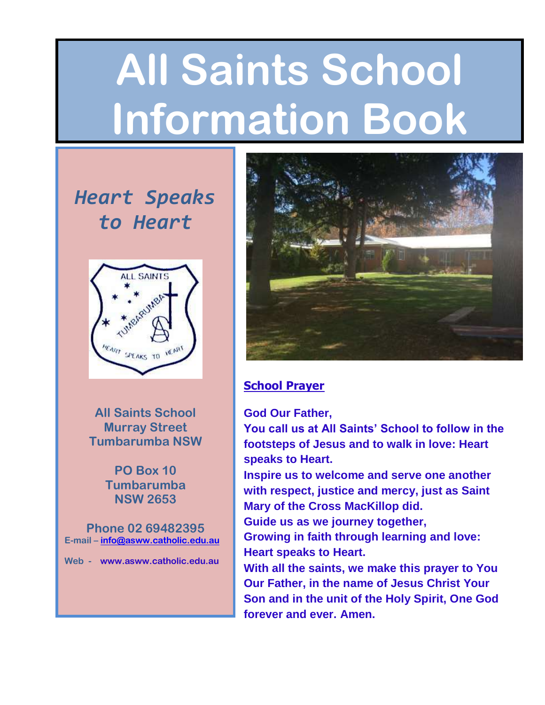# **All Saints School Information Book**

# *Heart Speaks to Heart*



**All Saints School Murray Street Tumbarumba NSW** 

> **PO Box 10 Tumbarumba NSW 2653**

**Phone 02 69482395 E-mail – [info@asww.catholic.edu.au](mailto:info@asww.catholic.edu.au)**

**Web - www.asww.catholic.edu.au**



#### **School Prayer**

#### **God Our Father,**

**You call us at All Saints' School to follow in the footsteps of Jesus and to walk in love: Heart speaks to Heart.**

**Inspire us to welcome and serve one another with respect, justice and mercy, just as Saint Mary of the Cross MacKillop did.**

**Guide us as we journey together,**

**Growing in faith through learning and love: Heart speaks to Heart.**

**With all the saints, we make this prayer to You Our Father, in the name of Jesus Christ Your Son and in the unit of the Holy Spirit, One God forever and ever. Amen.**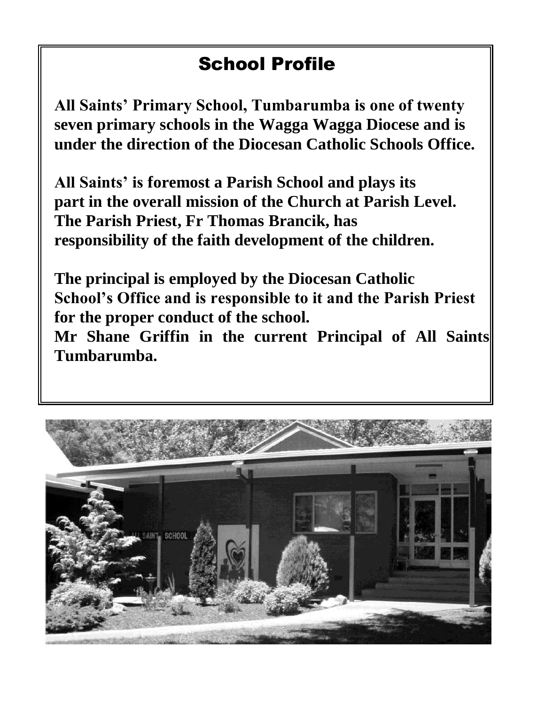# School Profile

**All Saints' Primary School, Tumbarumba is one of twenty seven primary schools in the Wagga Wagga Diocese and is under the direction of the Diocesan Catholic Schools Office.**

**All Saints' is foremost a Parish School and plays its part in the overall mission of the Church at Parish Level. The Parish Priest, Fr Thomas Brancik, has responsibility of the faith development of the children.**

**The principal is employed by the Diocesan Catholic School's Office and is responsible to it and the Parish Priest for the proper conduct of the school.**

Mr Shane Griffin in the current Principal of All Saints **Tumbarumba.**

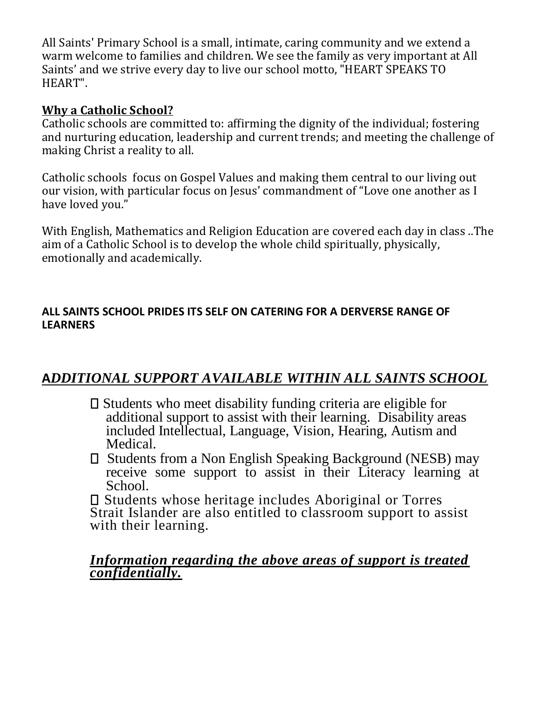All Saints' Primary School is a small, intimate, caring community and we extend a warm welcome to families and children. We see the family as very important at All Saints' and we strive every day to live our school motto, "HEART SPEAKS TO HEART".

#### **Why a Catholic School?**

Catholic schools are committed to: affirming the dignity of the individual; fostering and nurturing education, leadership and current trends; and meeting the challenge of making Christ a reality to all.

Catholic schools focus on Gospel Values and making them central to our living out our vision, with particular focus on Jesus' commandment of "Love one another as I have loved you."

With English, Mathematics and Religion Education are covered each day in class ..The aim of a Catholic School is to develop the whole child spiritually, physically, emotionally and academically.

#### **ALL SAINTS SCHOOL PRIDES ITS SELF ON CATERING FOR A DERVERSE RANGE OF LEARNERS**

#### **A***DDITIONAL SUPPORT AVAILABLE WITHIN ALL SAINTS SCHOOL*

- $\square$  Students who meet disability funding criteria are eligible for additional support to assist with their learning. Disability areas included Intellectual, Language, Vision, Hearing, Autism and Medical.
- □ Students from a Non English Speaking Background (NESB) may receive some support to assist in their Literacy learning at School.

Students whose heritage includes Aboriginal or Torres Strait Islander are also entitled to classroom support to assist with their learning.

#### *Information regarding the above areas of support is treated confidentially.*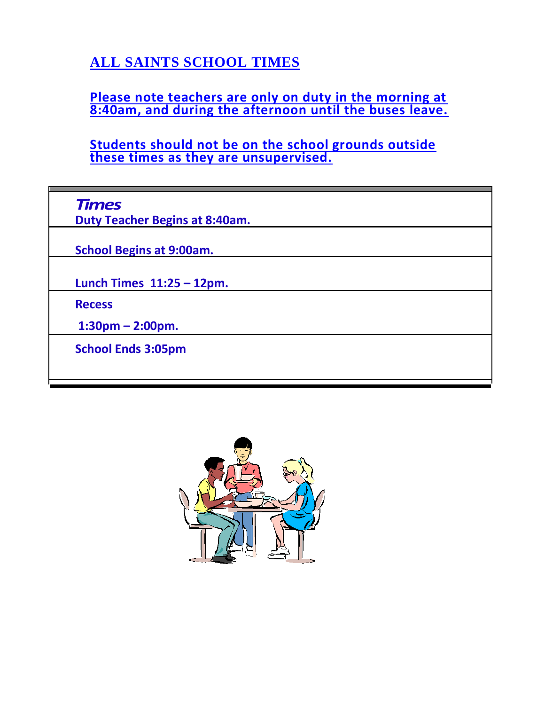## **ALL SAINTS SCHOOL TIMES**

**Please note teachers are only on duty in the morning at 8:40am, and during the afternoon until the buses leave.**

**Students should not be on the school grounds outside these times as they are unsupervised.**

| <b>Times</b> |
|--------------|
|--------------|

**Duty Teacher Begins at 8:40am.**

**School Begins at 9:00am.**

**Lunch Times 11:25 – 12pm.**

**Recess**

**1:30pm – 2:00pm.**

**School Ends 3:05pm**

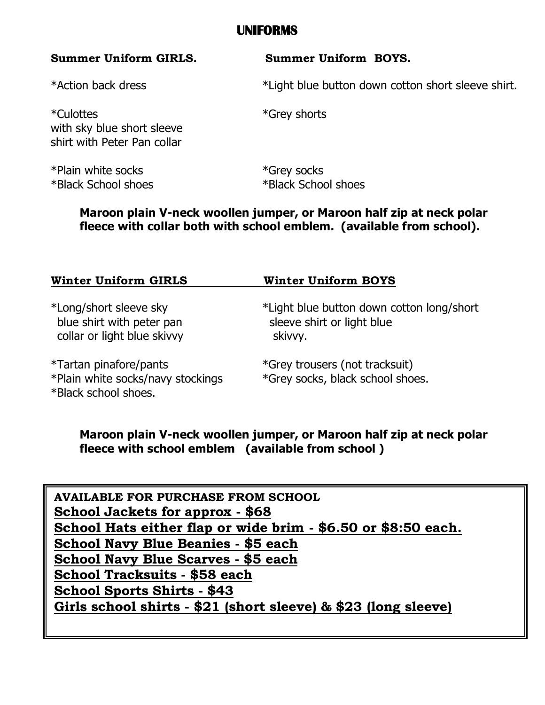#### **UNIFORMS**

\*Culottes \*Grey shorts with sky blue short sleeve shirt with Peter Pan collar

\*Plain white socks \*Grey socks \*Black School shoes \*Black School shoes

#### **Summer Uniform GIRLS. Summer Uniform BOYS.**

\*Action back dress \*Light blue button down cotton short sleeve shirt.

**Maroon plain V-neck woollen jumper, or Maroon half zip at neck polar fleece with collar both with school emblem. (available from school).**

| <b>Winter Uniform GIRLS</b>                                                         | <b>Winter Uniform BOYS</b>                                                         |  |
|-------------------------------------------------------------------------------------|------------------------------------------------------------------------------------|--|
| *Long/short sleeve sky<br>blue shirt with peter pan<br>collar or light blue skivvy  | *Light blue button down cotton long/short<br>sleeve shirt or light blue<br>skivvy. |  |
| *Tartan pinafore/pants<br>*Plain white socks/navy stockings<br>*Black school shoes. | *Grey trousers (not tracksuit)<br>*Grey socks, black school shoes.                 |  |

#### **Maroon plain V-neck woollen jumper, or Maroon half zip at neck polar fleece with school emblem (available from school )**

**AVAILABLE FOR PURCHASE FROM SCHOOL School Jackets for approx - \$68 School Hats either flap or wide brim - \$6.50 or \$8:50 each. School Navy Blue Beanies - \$5 each School Navy Blue Scarves - \$5 each School Tracksuits - \$58 each School Sports Shirts - \$43 Girls school shirts - \$21 (short sleeve) & \$23 (long sleeve)**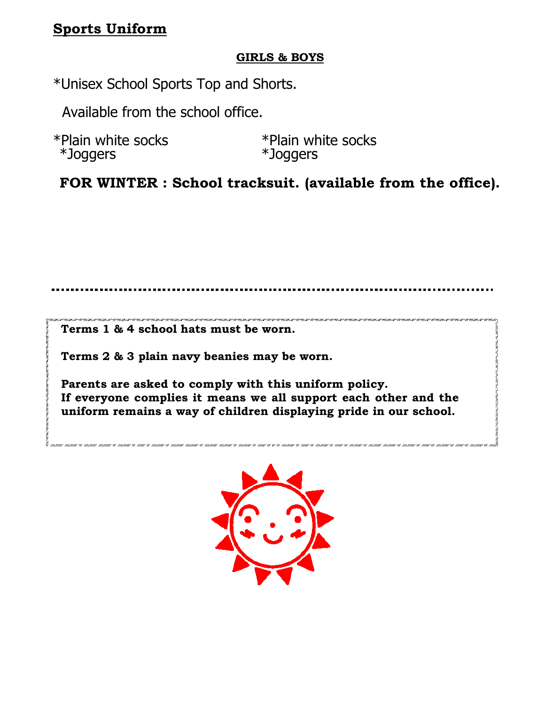### **Sports Uniform**

#### **GIRLS & BOYS**

\*Unisex School Sports Top and Shorts.

Available from the school office.

| *Plain white socks | *Plain white socks |  |
|--------------------|--------------------|--|
| *Joggers           | *Joggers           |  |

**FOR WINTER : School tracksuit. (available from the office).**

**Terms 1 & 4 school hats must be worn.**

**Terms 2 & 3 plain navy beanies may be worn.**

**Parents are asked to comply with this uniform policy. If everyone complies it means we all support each other and the uniform remains a way of children displaying pride in our school.**

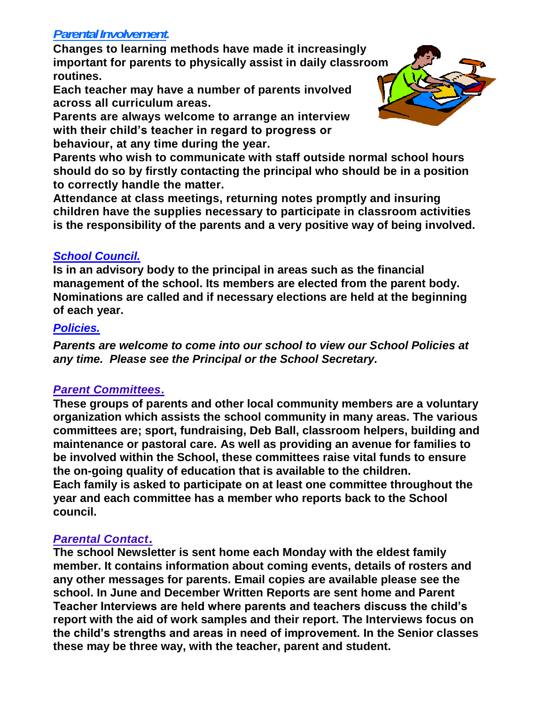#### *Parental Involvement***.**

**Changes to learning methods have made it increasingly important for parents to physically assist in daily classroom routines.**

**Each teacher may have a number of parents involved across all curriculum areas.**

**Parents are always welcome to arrange an interview with their child's teacher in regard to progress or behaviour, at any time during the year.**

**Parents who wish to communicate with staff outside normal school hours should do so by firstly contacting the principal who should be in a position to correctly handle the matter.**

**Attendance at class meetings, returning notes promptly and insuring children have the supplies necessary to participate in classroom activities is the responsibility of the parents and a very positive way of being involved.**

#### *School Council.*

**Is in an advisory body to the principal in areas such as the financial management of the school. Its members are elected from the parent body. Nominations are called and if necessary elections are held at the beginning of each year.**

#### *Policies.*

*Parents are welcome to come into our school to view our School Policies at any time. Please see the Principal or the School Secretary.*

#### *Parent Committees***.**

**These groups of parents and other local community members are a voluntary organization which assists the school community in many areas. The various committees are; sport, fundraising, Deb Ball, classroom helpers, building and maintenance or pastoral care. As well as providing an avenue for families to be involved within the School, these committees raise vital funds to ensure the on-going quality of education that is available to the children. Each family is asked to participate on at least one committee throughout the year and each committee has a member who reports back to the School council.**

#### *Parental Contact.*

**The school Newsletter is sent home each Monday with the eldest family member. It contains information about coming events, details of rosters and any other messages for parents. Email copies are available please see the school. In June and December Written Reports are sent home and Parent Teacher Interviews are held where parents and teachers discuss the child's report with the aid of work samples and their report. The Interviews focus on the child's strengths and areas in need of improvement. In the Senior classes these may be three way, with the teacher, parent and student.**

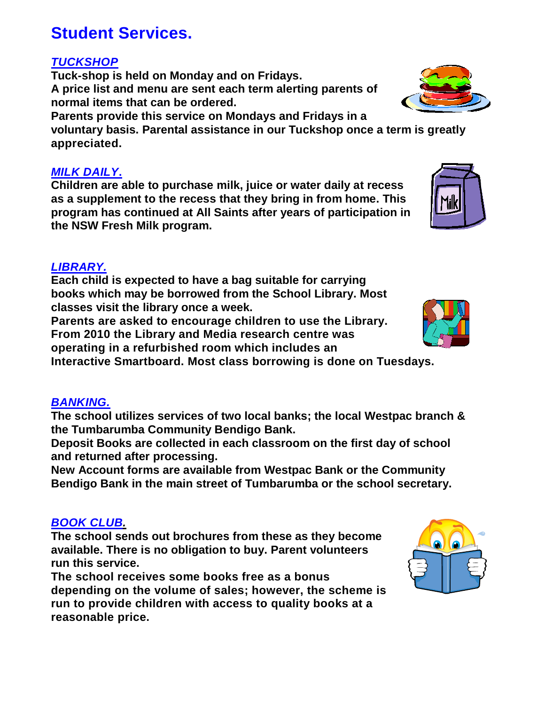# **Student Services.**

#### *TUCKSHOP*

**Tuck-shop is held on Monday and on Fridays. A price list and menu are sent each term alerting parents of normal items that can be ordered.**

**Parents provide this service on Mondays and Fridays in a voluntary basis. Parental assistance in our Tuckshop once a term is greatly**

**appreciated.**

#### *MILK DAILY***.**

**Children are able to purchase milk, juice or water daily at recess as a supplement to the recess that they bring in from home. This program has continued at All Saints after years of participation in the NSW Fresh Milk program.**

#### *LIBRARY.*

**Each child is expected to have a bag suitable for carrying books which may be borrowed from the School Library. Most classes visit the library once a week.**

**Parents are asked to encourage children to use the Library. From 2010 the Library and Media research centre was operating in a refurbished room which includes an** 

**Interactive Smartboard. Most class borrowing is done on Tuesdays.**

#### *BANKING.*

**The school utilizes services of two local banks; the local Westpac branch & the Tumbarumba Community Bendigo Bank.**

**Deposit Books are collected in each classroom on the first day of school and returned after processing.**

**New Account forms are available from Westpac Bank or the Community Bendigo Bank in the main street of Tumbarumba or the school secretary.**

#### *BOOK CLUB.*

**The school sends out brochures from these as they become available. There is no obligation to buy. Parent volunteers run this service.**

**The school receives some books free as a bonus depending on the volume of sales; however, the scheme is run to provide children with access to quality books at a reasonable price.**







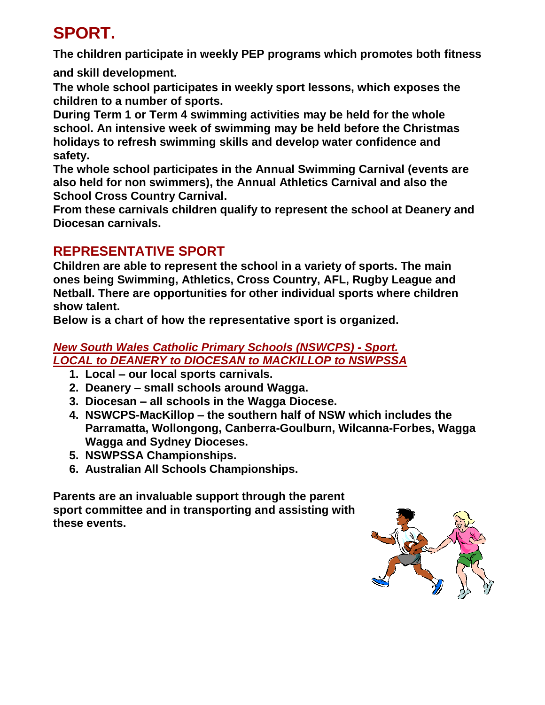# **SPORT.**

**The children participate in weekly PEP programs which promotes both fitness** 

**and skill development.**

**The whole school participates in weekly sport lessons, which exposes the children to a number of sports.**

**During Term 1 or Term 4 swimming activities may be held for the whole school. An intensive week of swimming may be held before the Christmas holidays to refresh swimming skills and develop water confidence and safety.**

**The whole school participates in the Annual Swimming Carnival (events are also held for non swimmers), the Annual Athletics Carnival and also the School Cross Country Carnival.**

**From these carnivals children qualify to represent the school at Deanery and Diocesan carnivals.**

### **REPRESENTATIVE SPORT**

**Children are able to represent the school in a variety of sports. The main ones being Swimming, Athletics, Cross Country, AFL, Rugby League and Netball. There are opportunities for other individual sports where children show talent.**

**Below is a chart of how the representative sport is organized.**

#### *New South Wales Catholic Primary Schools (NSWCPS) - Sport. LOCAL to DEANERY to DIOCESAN to MACKILLOP to NSWPSSA*

- **1. Local – our local sports carnivals.**
- **2. Deanery – small schools around Wagga.**
- **3. Diocesan – all schools in the Wagga Diocese.**
- **4. NSWCPS-MacKillop – the southern half of NSW which includes the Parramatta, Wollongong, Canberra-Goulburn, Wilcanna-Forbes, Wagga Wagga and Sydney Dioceses.**
- **5. NSWPSSA Championships.**
- **6. Australian All Schools Championships.**

**Parents are an invaluable support through the parent sport committee and in transporting and assisting with these events.**